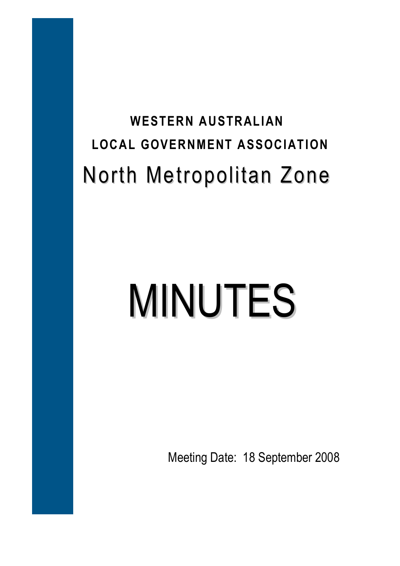# **WESTERN AUSTRALIAN LOCAL GOVERNMENT ASSOCIATION**  North Metropolitan Zone

# MINUTES

Meeting Date: 18 September 2008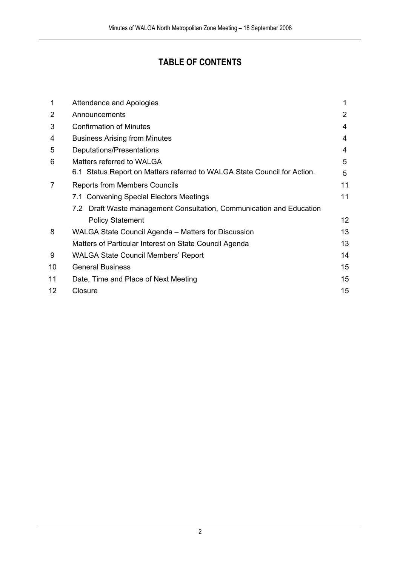## **TABLE OF CONTENTS**

| 1              | Attendance and Apologies                                                 | 1               |
|----------------|--------------------------------------------------------------------------|-----------------|
| 2              | Announcements                                                            | 2               |
| 3              | <b>Confirmation of Minutes</b>                                           | 4               |
| 4              | <b>Business Arising from Minutes</b>                                     | 4               |
| 5              | Deputations/Presentations                                                | 4               |
| 6              | Matters referred to WALGA                                                | 5               |
|                | 6.1 Status Report on Matters referred to WALGA State Council for Action. | 5               |
| $\overline{7}$ | <b>Reports from Members Councils</b>                                     | 11              |
|                | 7.1 Convening Special Electors Meetings                                  | 11              |
|                | 7.2 Draft Waste management Consultation, Communication and Education     |                 |
|                | <b>Policy Statement</b>                                                  | 12 <sup>2</sup> |
| 8              | WALGA State Council Agenda - Matters for Discussion                      | 13              |
|                | Matters of Particular Interest on State Council Agenda                   | 13              |
| 9              | <b>WALGA State Council Members' Report</b>                               | 14              |
| 10             | <b>General Business</b>                                                  | 15              |
| 11             | Date, Time and Place of Next Meeting                                     | 15              |
| 12             | Closure                                                                  | 15              |
|                |                                                                          |                 |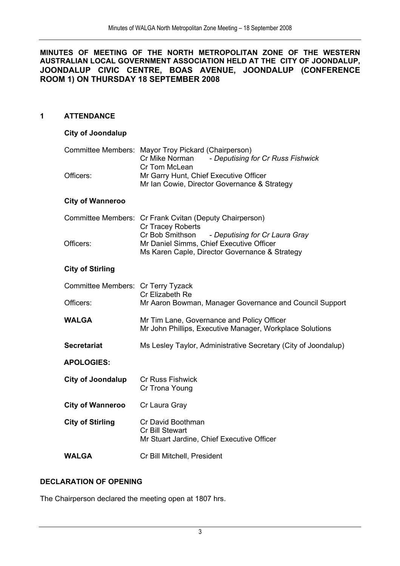#### **MINUTES OF MEETING OF THE NORTH METROPOLITAN ZONE OF THE WESTERN AUSTRALIAN LOCAL GOVERNMENT ASSOCIATION HELD AT THE CITY OF JOONDALUP, JOONDALUP CIVIC CENTRE, BOAS AVENUE, JOONDALUP (CONFERENCE ROOM 1) ON THURSDAY 18 SEPTEMBER 2008**

#### **1 ATTENDANCE**

#### **City of Joondalup**

| Officers:                          | Committee Members: Mayor Troy Pickard (Chairperson)<br>Cr Mike Norman<br>- Deputising for Cr Russ Fishwick<br>Cr Tom McLean<br>Mr Garry Hunt, Chief Executive Officer |
|------------------------------------|-----------------------------------------------------------------------------------------------------------------------------------------------------------------------|
|                                    | Mr Ian Cowie, Director Governance & Strategy                                                                                                                          |
| <b>City of Wanneroo</b>            |                                                                                                                                                                       |
|                                    | Committee Members: Cr Frank Cvitan (Deputy Chairperson)<br>Cr Tracey Roberts                                                                                          |
| Officers:                          | Cr Bob Smithson<br>- Deputising for Cr Laura Gray<br>Mr Daniel Simms, Chief Executive Officer<br>Ms Karen Caple, Director Governance & Strategy                       |
| <b>City of Stirling</b>            |                                                                                                                                                                       |
| Committee Members: Cr Terry Tyzack | Cr Elizabeth Re                                                                                                                                                       |
| Officers:                          | Mr Aaron Bowman, Manager Governance and Council Support                                                                                                               |
| <b>WALGA</b>                       | Mr Tim Lane, Governance and Policy Officer<br>Mr John Phillips, Executive Manager, Workplace Solutions                                                                |
| <b>Secretariat</b>                 | Ms Lesley Taylor, Administrative Secretary (City of Joondalup)                                                                                                        |
| <b>APOLOGIES:</b>                  |                                                                                                                                                                       |
| <b>City of Joondalup</b>           | <b>Cr Russ Fishwick</b><br>Cr Trona Young                                                                                                                             |
| <b>City of Wanneroo</b>            | Cr Laura Gray                                                                                                                                                         |
| <b>City of Stirling</b>            | Cr David Boothman<br>Cr Bill Stewart<br>Mr Stuart Jardine, Chief Executive Officer                                                                                    |

**WALGA** Cr Bill Mitchell, President

#### **DECLARATION OF OPENING**

The Chairperson declared the meeting open at 1807 hrs.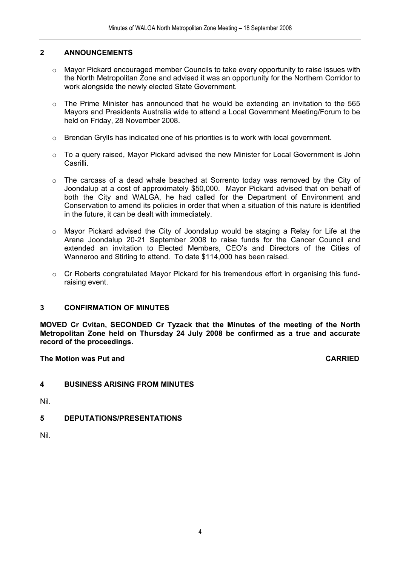#### **2 ANNOUNCEMENTS**

- $\circ$  Mayor Pickard encouraged member Councils to take every opportunity to raise issues with the North Metropolitan Zone and advised it was an opportunity for the Northern Corridor to work alongside the newly elected State Government.
- $\circ$  The Prime Minister has announced that he would be extending an invitation to the 565 Mayors and Presidents Australia wide to attend a Local Government Meeting/Forum to be held on Friday, 28 November 2008.
- $\circ$  Brendan Grylls has indicated one of his priorities is to work with local government.
- $\circ$  To a query raised, Mayor Pickard advised the new Minister for Local Government is John Casrilli.
- o The carcass of a dead whale beached at Sorrento today was removed by the City of Joondalup at a cost of approximately \$50,000. Mayor Pickard advised that on behalf of both the City and WALGA, he had called for the Department of Environment and Conservation to amend its policies in order that when a situation of this nature is identified in the future, it can be dealt with immediately.
- o Mayor Pickard advised the City of Joondalup would be staging a Relay for Life at the Arena Joondalup 20-21 September 2008 to raise funds for the Cancer Council and extended an invitation to Elected Members, CEO's and Directors of the Cities of Wanneroo and Stirling to attend. To date \$114,000 has been raised.
- $\circ$  Cr Roberts congratulated Mayor Pickard for his tremendous effort in organising this fundraising event.

#### **3 CONFIRMATION OF MINUTES**

**MOVED Cr Cvitan, SECONDED Cr Tyzack that the Minutes of the meeting of the North Metropolitan Zone held on Thursday 24 July 2008 be confirmed as a true and accurate record of the proceedings.** 

**The Motion was Put and CARRIED** 

#### **4 BUSINESS ARISING FROM MINUTES**

Nil.

#### **5 DEPUTATIONS/PRESENTATIONS**

Nil.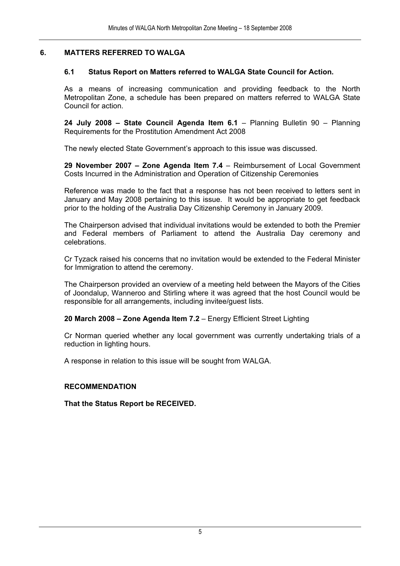#### **6. MATTERS REFERRED TO WALGA**

#### **6.1 Status Report on Matters referred to WALGA State Council for Action.**

As a means of increasing communication and providing feedback to the North Metropolitan Zone, a schedule has been prepared on matters referred to WALGA State Council for action.

**24 July 2008 – State Council Agenda Item 6.1** – Planning Bulletin 90 – Planning Requirements for the Prostitution Amendment Act 2008

The newly elected State Government's approach to this issue was discussed.

**29 November 2007 – Zone Agenda Item 7.4** – Reimbursement of Local Government Costs Incurred in the Administration and Operation of Citizenship Ceremonies

Reference was made to the fact that a response has not been received to letters sent in January and May 2008 pertaining to this issue. It would be appropriate to get feedback prior to the holding of the Australia Day Citizenship Ceremony in January 2009.

The Chairperson advised that individual invitations would be extended to both the Premier and Federal members of Parliament to attend the Australia Day ceremony and celebrations.

Cr Tyzack raised his concerns that no invitation would be extended to the Federal Minister for Immigration to attend the ceremony.

The Chairperson provided an overview of a meeting held between the Mayors of the Cities of Joondalup, Wanneroo and Stirling where it was agreed that the host Council would be responsible for all arrangements, including invitee/guest lists.

**20 March 2008 – Zone Agenda Item 7.2** – Energy Efficient Street Lighting

Cr Norman queried whether any local government was currently undertaking trials of a reduction in lighting hours.

A response in relation to this issue will be sought from WALGA.

#### **RECOMMENDATION**

**That the Status Report be RECEIVED.**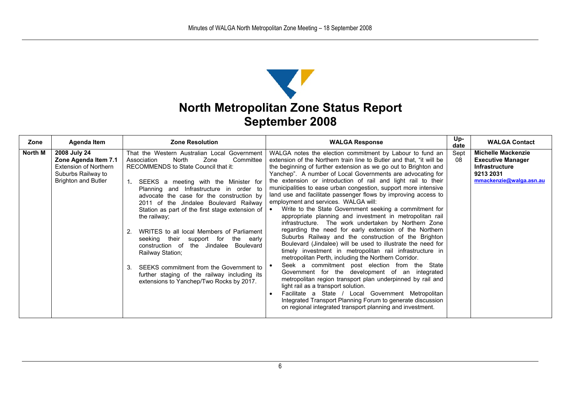## **North Metropolitan Zone Status Report September 2008**

| Zone           | <b>Agenda Item</b>                                                                                                | <b>Zone Resolution</b>                                                                                                                                                                                                                                                                                                                                                                                                                                                                                                                                                                                                                                                                  | <b>WALGA Response</b>                                                                                                                                                                                                                                                                                                                                                                                                                                                                                                                                                                                                                                                                                                                                                                                                                                                                                                                                                                                                                                                                                                                                                                                                                                                                                                                                                                                       | Up-<br>date | <b>WALGA Contact</b>                                                                                                   |
|----------------|-------------------------------------------------------------------------------------------------------------------|-----------------------------------------------------------------------------------------------------------------------------------------------------------------------------------------------------------------------------------------------------------------------------------------------------------------------------------------------------------------------------------------------------------------------------------------------------------------------------------------------------------------------------------------------------------------------------------------------------------------------------------------------------------------------------------------|-------------------------------------------------------------------------------------------------------------------------------------------------------------------------------------------------------------------------------------------------------------------------------------------------------------------------------------------------------------------------------------------------------------------------------------------------------------------------------------------------------------------------------------------------------------------------------------------------------------------------------------------------------------------------------------------------------------------------------------------------------------------------------------------------------------------------------------------------------------------------------------------------------------------------------------------------------------------------------------------------------------------------------------------------------------------------------------------------------------------------------------------------------------------------------------------------------------------------------------------------------------------------------------------------------------------------------------------------------------------------------------------------------------|-------------|------------------------------------------------------------------------------------------------------------------------|
| <b>North M</b> | 2008 July 24<br>Zone Agenda Item 7.1<br>Extension of Northern<br>Suburbs Railway to<br><b>Brighton and Butler</b> | That the Western Australian Local Government<br>North<br>Zone<br>Committee<br>Association<br>RECOMMENDS to State Council that it:<br>SEEKS a meeting with the Minister for<br>Planning and Infrastructure in order to<br>advocate the case for the construction by<br>2011 of the Jindalee Boulevard Railway<br>Station as part of the first stage extension of<br>the railway;<br>WRITES to all local Members of Parliament<br>2.<br>seeking their support for<br>the early<br>construction of the Jindalee Boulevard<br>Railway Station;<br>SEEKS commitment from the Government to<br>3.<br>further staging of the railway including its<br>extensions to Yanchep/Two Rocks by 2017. | WALGA notes the election commitment by Labour to fund an<br>extension of the Northern train line to Butler and that, "it will be<br>the beginning of further extension as we go out to Brighton and<br>Yanchep". A number of Local Governments are advocating for<br>the extension or introduction of rail and light rail to their<br>municipalities to ease urban congestion, support more intensive<br>land use and facilitate passenger flows by improving access to<br>employment and services. WALGA will:<br>Write to the State Government seeking a commitment for<br>$\bullet$<br>appropriate planning and investment in metropolitan rail<br>infrastructure. The work undertaken by Northern Zone<br>regarding the need for early extension of the Northern<br>Suburbs Railway and the construction of the Brighton<br>Boulevard (Jindalee) will be used to illustrate the need for<br>timely investment in metropolitan rail infrastructure in<br>metropolitan Perth, including the Northern Corridor.<br>Seek a commitment post election from the State<br>Government for the development of an integrated<br>metropolitan region transport plan underpinned by rail and<br>light rail as a transport solution.<br>Facilitate a State / Local Government Metropolitan<br>Integrated Transport Planning Forum to generate discussion<br>on regional integrated transport planning and investment. | Sept<br>08  | <b>Michelle Mackenzie</b><br><b>Executive Manager</b><br><b>Infrastructure</b><br>9213 2031<br>mmackenzie@walga.asn.au |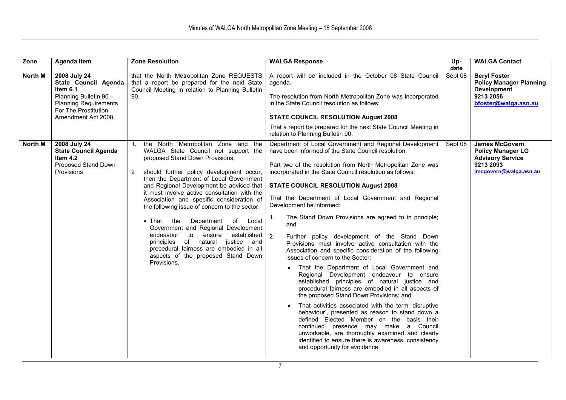| Zone           | Agenda Item                                                                                                                                              | <b>Zone Resolution</b>                                                                                                                                                                                                                                                                                                                                                                                                                                                                                                                                                                                                                                                         | <b>WALGA Response</b>                                                                                                                                                                                                                                                                                                                                                                                                                                                                                                                                                                                                                                                                                                                                                                                                                                                                                                                                                                                                                                                                                                                                                                                                                                        | Up-<br>date | <b>WALGA Contact</b>                                                                                                |
|----------------|----------------------------------------------------------------------------------------------------------------------------------------------------------|--------------------------------------------------------------------------------------------------------------------------------------------------------------------------------------------------------------------------------------------------------------------------------------------------------------------------------------------------------------------------------------------------------------------------------------------------------------------------------------------------------------------------------------------------------------------------------------------------------------------------------------------------------------------------------|--------------------------------------------------------------------------------------------------------------------------------------------------------------------------------------------------------------------------------------------------------------------------------------------------------------------------------------------------------------------------------------------------------------------------------------------------------------------------------------------------------------------------------------------------------------------------------------------------------------------------------------------------------------------------------------------------------------------------------------------------------------------------------------------------------------------------------------------------------------------------------------------------------------------------------------------------------------------------------------------------------------------------------------------------------------------------------------------------------------------------------------------------------------------------------------------------------------------------------------------------------------|-------------|---------------------------------------------------------------------------------------------------------------------|
| North M        | 2008 July 24<br>State Council Agenda<br>Item 6.1<br>Planning Bulletin 90 -<br><b>Planning Requirements</b><br>For The Prostitution<br>Amendment Act 2008 | that the North Metropolitan Zone REQUESTS<br>that a report be prepared for the next State<br>Council Meeting in relation to Planning Bulletin<br>90.                                                                                                                                                                                                                                                                                                                                                                                                                                                                                                                           | A report will be included in the October 08 State Council<br>agenda.<br>The resolution from North Metropolitan Zone was incorporated<br>in the State Council resolution as follows:<br><b>STATE COUNCIL RESOLUTION August 2008</b><br>That a report be prepared for the next State Council Meeting in<br>relation to Planning Bulletin 90.                                                                                                                                                                                                                                                                                                                                                                                                                                                                                                                                                                                                                                                                                                                                                                                                                                                                                                                   | Sept 08     | <b>Beryl Foster</b><br><b>Policy Manager Planning</b><br><b>Development</b><br>9213 2056<br>bfoster@walga.asn.au    |
| <b>North M</b> | 2008 July 24<br><b>State Council Agenda</b><br>Item 4.2<br>Proposed Stand Down<br>Provisions                                                             | 1.<br>the North Metropolitan Zone and the<br>WALGA State Council not support the<br>proposed Stand Down Provisions;<br>should further policy development occur,<br>2<br>then the Department of Local Government<br>and Regional Development be advised that<br>it must involve active consultation with the<br>Association and specific consideration of<br>the following issue of concern to the sector:<br>$\bullet$ That the<br>Department of Local<br>Government and Regional Development<br>to ensure<br>established<br>endeavour<br>principles of natural justice<br>and<br>procedural fairness are embodied in all<br>aspects of the proposed Stand Down<br>Provisions. | Department of Local Government and Regional Development<br>have been informed of the State Council resolution.<br>Part two of the resolution from North Metropolitan Zone was<br>incorporated in the State Council resolution as follows:<br><b>STATE COUNCIL RESOLUTION August 2008</b><br>That the Department of Local Government and Regional<br>Development be informed:<br>The Stand Down Provisions are agreed to in principle;<br>1.<br>and<br>2.<br>Further policy development of the Stand Down<br>Provisions must involve active consultation with the<br>Association and specific consideration of the following<br>issues of concern to the Sector:<br>• That the Department of Local Government and<br>Regional Development endeavour to ensure<br>established principles of natural justice and<br>procedural fairness are embodied in all aspects of<br>the proposed Stand Down Provisions; and<br>That activities associated with the term 'disruptive<br>behaviour', presented as reason to stand down a<br>defined Elected Member on the basis their<br>continued presence may make a Council<br>unworkable, are thoroughly examined and clearly<br>identified to ensure there is awareness, consistency<br>and opportunity for avoidance. | Sept 08     | <b>James McGovern</b><br><b>Policy Manager LG</b><br><b>Advisory Service</b><br>9213 2093<br>jmcgovern@walga.asn.au |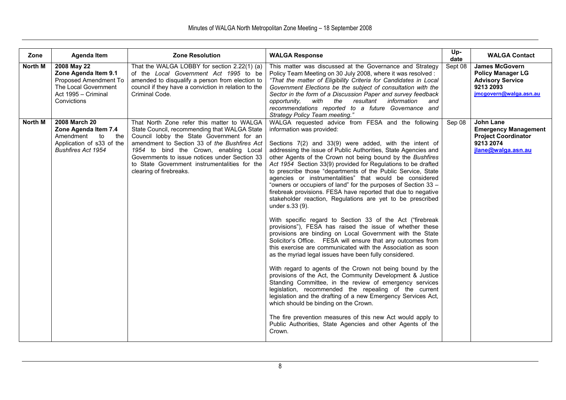| Zone           | <b>Agenda Item</b>                                                                                                               | <b>Zone Resolution</b>                                                                                                                                                                                                                                                                                                                                         | <b>WALGA Response</b>                                                                                                                                                                                                                                                                                                                                                                                                                                                                                                                                                                                                                                                                                                                                                                                                                                                                                                                                                                                                                                                                                                                                                                                                                                                                                                                                                                                                                                                                                                                                                   | Up-<br>date | <b>WALGA Contact</b>                                                                                                |
|----------------|----------------------------------------------------------------------------------------------------------------------------------|----------------------------------------------------------------------------------------------------------------------------------------------------------------------------------------------------------------------------------------------------------------------------------------------------------------------------------------------------------------|-------------------------------------------------------------------------------------------------------------------------------------------------------------------------------------------------------------------------------------------------------------------------------------------------------------------------------------------------------------------------------------------------------------------------------------------------------------------------------------------------------------------------------------------------------------------------------------------------------------------------------------------------------------------------------------------------------------------------------------------------------------------------------------------------------------------------------------------------------------------------------------------------------------------------------------------------------------------------------------------------------------------------------------------------------------------------------------------------------------------------------------------------------------------------------------------------------------------------------------------------------------------------------------------------------------------------------------------------------------------------------------------------------------------------------------------------------------------------------------------------------------------------------------------------------------------------|-------------|---------------------------------------------------------------------------------------------------------------------|
| <b>North M</b> | 2008 May 22<br>Zone Agenda Item 9.1<br>Proposed Amendment To<br>The Local Government<br>Act 1995 - Criminal<br>Convictions       | That the WALGA LOBBY for section 2.22(1) (a)<br>of the Local Government Act 1995 to be<br>amended to disqualify a person from election to<br>council if they have a conviction in relation to the<br>Criminal Code.                                                                                                                                            | This matter was discussed at the Governance and Strategy<br>Policy Team Meeting on 30 July 2008, where it was resolved :<br>"That the matter of Eligibility Criteria for Candidates in Local<br>Government Elections be the subject of consultation with the<br>Sector in the form of a Discussion Paper and survey feedback<br>opportunity, with the resultant<br>information<br>and<br>recommendations reported to a future Governance and<br>Strategy Policy Team meeting."                                                                                                                                                                                                                                                                                                                                                                                                                                                                                                                                                                                                                                                                                                                                                                                                                                                                                                                                                                                                                                                                                          | Sept 08     | <b>James McGovern</b><br><b>Policy Manager LG</b><br><b>Advisory Service</b><br>9213 2093<br>imcgovern@walga.asn.au |
| North M        | <b>2008 March 20</b><br>Zone Agenda Item 7.4<br>Amendment<br>to<br>the<br>Application of s33 of the<br><b>Bushfires Act 1954</b> | That North Zone refer this matter to WALGA<br>State Council, recommending that WALGA State<br>Council lobby the State Government for an<br>amendment to Section 33 of the Bushfires Act<br>1954 to bind the Crown, enabling Local<br>Governments to issue notices under Section 33<br>to State Government instrumentalities for the<br>clearing of firebreaks. | WALGA requested advice from FESA and the following<br>information was provided:<br>Sections 7(2) and 33(9) were added, with the intent of<br>addressing the issue of Public Authorities, State Agencies and<br>other Agents of the Crown not being bound by the Bushfires<br>Act 1954 Section 33(9) provided for Regulations to be drafted<br>to prescribe those "departments of the Public Service, State<br>agencies or instrumentalities" that would be considered<br>"owners or occupiers of land" for the purposes of Section 33 -<br>firebreak provisions. FESA have reported that due to negative<br>stakeholder reaction, Regulations are yet to be prescribed<br>under s.33 (9).<br>With specific regard to Section 33 of the Act ("firebreak<br>provisions"), FESA has raised the issue of whether these<br>provisions are binding on Local Government with the State<br>Solicitor's Office. FESA will ensure that any outcomes from<br>this exercise are communicated with the Association as soon<br>as the myriad legal issues have been fully considered.<br>With regard to agents of the Crown not being bound by the<br>provisions of the Act, the Community Development & Justice<br>Standing Committee, in the review of emergency services<br>legislation, recommended the repealing of the current<br>legislation and the drafting of a new Emergency Services Act,<br>which should be binding on the Crown.<br>The fire prevention measures of this new Act would apply to<br>Public Authorities, State Agencies and other Agents of the<br>Crown. | Sep 08      | John Lane<br><b>Emergency Management</b><br><b>Project Coordinator</b><br>9213 2074<br>jlane@walga.asn.au           |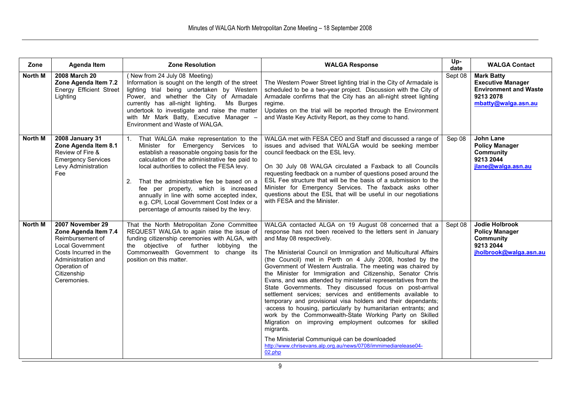| Zone           | <b>Agenda Item</b>                                                                                                                                                                   | <b>Zone Resolution</b>                                                                                                                                                                                                                                                                                                                                                                                                                                                            | <b>WALGA Response</b>                                                                                                                                                                                                                                                                                                                                                                                                                                                                                                                                                                                                                                                                                                                                                                                                                                                                                                                                                                                           | Up-<br>date | <b>WALGA Contact</b>                                                                                              |
|----------------|--------------------------------------------------------------------------------------------------------------------------------------------------------------------------------------|-----------------------------------------------------------------------------------------------------------------------------------------------------------------------------------------------------------------------------------------------------------------------------------------------------------------------------------------------------------------------------------------------------------------------------------------------------------------------------------|-----------------------------------------------------------------------------------------------------------------------------------------------------------------------------------------------------------------------------------------------------------------------------------------------------------------------------------------------------------------------------------------------------------------------------------------------------------------------------------------------------------------------------------------------------------------------------------------------------------------------------------------------------------------------------------------------------------------------------------------------------------------------------------------------------------------------------------------------------------------------------------------------------------------------------------------------------------------------------------------------------------------|-------------|-------------------------------------------------------------------------------------------------------------------|
| North M        | 2008 March 20<br>Zone Agenda Item 7.2<br><b>Energy Efficient Street</b><br>Lighting                                                                                                  | (New from 24 July 08 Meeting)<br>Information is sought on the length of the street<br>lighting trial being undertaken by Western<br>Power, and whether the City of Armadale<br>currently has all-night lighting. Ms Burges<br>undertook to investigate and raise the matter<br>with Mr Mark Batty, Executive Manager -<br>Environment and Waste of WALGA.                                                                                                                         | The Western Power Street lighting trial in the City of Armadale is<br>scheduled to be a two-year project. Discussion with the City of<br>Armadale confirms that the City has an all-night street lighting<br>regime.<br>Updates on the trial will be reported through the Environment<br>and Waste Key Activity Report, as they come to hand.                                                                                                                                                                                                                                                                                                                                                                                                                                                                                                                                                                                                                                                                   | Sept 08     | <b>Mark Batty</b><br><b>Executive Manager</b><br><b>Environment and Waste</b><br>9213 2078<br>mbatty@walqa.asn.au |
| North M        | 2008 January 31<br>Zone Agenda Item 8.1<br>Review of Fire &<br><b>Emergency Services</b><br>Levy Administration<br><b>Fee</b>                                                        | That WALGA make representation to the<br>1 <sup>1</sup><br>Minister for Emergency Services to<br>establish a reasonable ongoing basis for the<br>calculation of the administrative fee paid to<br>local authorities to collect the FESA levy.<br>2.<br>That the administrative fee be based on a<br>fee per property, which is increased<br>annually in line with some accepted index,<br>e.g. CPI, Local Government Cost Index or a<br>percentage of amounts raised by the levy. | WALGA met with FESA CEO and Staff and discussed a range of<br>issues and advised that WALGA would be seeking member<br>council feedback on the ESL levy.<br>On 30 July 08 WALGA circulated a Faxback to all Councils<br>requesting feedback on a number of questions posed around the<br>ESL Fee structure that will be the basis of a submission to the<br>Minister for Emergency Services. The faxback asks other<br>questions about the ESL that will be useful in our negotiations<br>with FESA and the Minister.                                                                                                                                                                                                                                                                                                                                                                                                                                                                                           | Sep 08      | John Lane<br><b>Policy Manager</b><br>Community<br>9213 2044<br>jlane@walqa.asn.au                                |
| <b>North M</b> | 2007 November 29<br>Zone Agenda Item 7.4<br>Reimbursement of<br><b>Local Government</b><br>Costs Incurred in the<br>Administration and<br>Operation of<br>Citizenship<br>Ceremonies. | That the North Metropolitan Zone Committee<br>REQUEST WALGA to again raise the issue of<br>funding citizenship ceremonies with ALGA, with<br>the objective of further<br>lobbying the<br>Commonwealth Government to change its<br>position on this matter.                                                                                                                                                                                                                        | WALGA contacted ALGA on 19 August 08 concerned that a<br>response has not been received to the letters sent in January<br>and May 08 respectively.<br>The Ministerial Council on Immigration and Multicultural Affairs<br>(the Council) met in Perth on 4 July 2008, hosted by the<br>Government of Western Australia. The meeting was chaired by<br>the Minister for Immigration and Citizenship, Senator Chris<br>Evans, and was attended by ministerial representatives from the<br>State Governments. They discussed focus on post-arrival<br>settlement services; services and entitlements available to<br>temporary and provisional visa holders and their dependants;<br>access to housing, particularly by humanitarian entrants; and<br>work by the Commonwealth-State Working Party on Skilled<br>Migration on improving employment outcomes for skilled<br>migrants.<br>The Ministerial Communiqué can be downloaded<br>http://www.chrisevans.alp.org.au/news/0708/immimediarelease04-<br>$02.$ php | Sept 08     | <b>Jodie Holbrook</b><br><b>Policy Manager</b><br>Community<br>9213 2044<br>iholbrook@walga.asn.au                |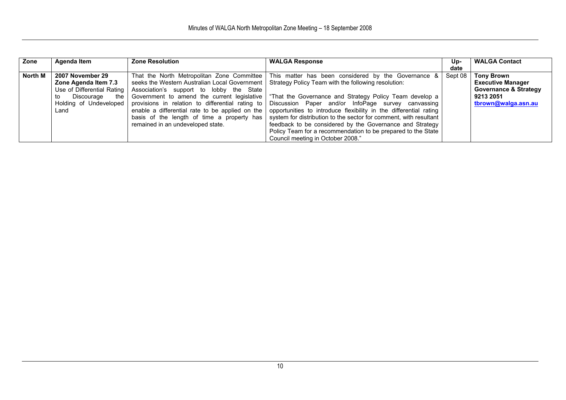| Zone    | Agenda Item                | <b>Zone Resolution</b>                                                  | <b>WALGA Response</b>                                                                                 | Up-     | <b>WALGA Contact</b>             |
|---------|----------------------------|-------------------------------------------------------------------------|-------------------------------------------------------------------------------------------------------|---------|----------------------------------|
|         |                            |                                                                         |                                                                                                       | date    |                                  |
| North M | 2007 November 29           | That the North Metropolitan Zone Committee                              | This matter has been considered by the Governance &                                                   | Sept 08 | <b>Tony Brown</b>                |
|         | Zone Agenda Item 7.3       | seeks the Western Australian Local Government                           | Strategy Policy Team with the following resolution:                                                   |         | <b>Executive Manager</b>         |
|         | Use of Differential Rating | Association's support to lobby the State                                |                                                                                                       |         | <b>Governance &amp; Strategy</b> |
|         | Discourage<br>the l<br>to  |                                                                         | Government to amend the current legislative   "That the Governance and Strategy Policy Team develop a |         | 9213 2051                        |
|         |                            | Holding of Undeveloped provisions in relation to differential rating to | Discussion Paper and/or InfoPage survey canvassing                                                    |         | tbrown@walga.asn.au              |
|         | Land                       | enable a differential rate to be applied on the                         | opportunities to introduce flexibility in the differential rating                                     |         |                                  |
|         |                            | basis of the length of time a property has                              | system for distribution to the sector for comment, with resultant                                     |         |                                  |
|         |                            | remained in an undeveloped state.                                       | feedback to be considered by the Governance and Strategy                                              |         |                                  |
|         |                            |                                                                         | Policy Team for a recommendation to be prepared to the State                                          |         |                                  |
|         |                            |                                                                         | Council meeting in October 2008."                                                                     |         |                                  |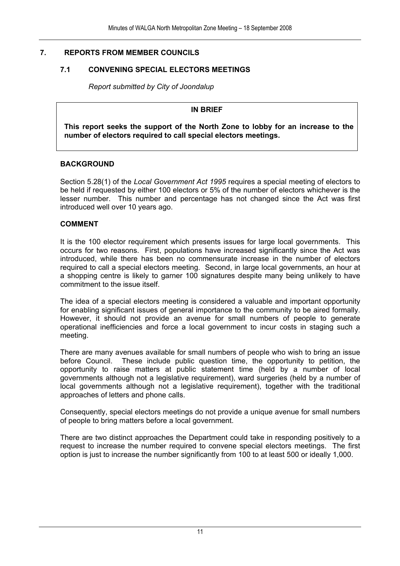#### **7. REPORTS FROM MEMBER COUNCILS**

#### **7.1 CONVENING SPECIAL ELECTORS MEETINGS**

*Report submitted by City of Joondalup* 

#### **IN BRIEF**

 **This report seeks the support of the North Zone to lobby for an increase to the number of electors required to call special electors meetings.** 

#### **BACKGROUND**

Section 5.28(1) of the *Local Government Act 1995* requires a special meeting of electors to be held if requested by either 100 electors or 5% of the number of electors whichever is the lesser number. This number and percentage has not changed since the Act was first introduced well over 10 years ago.

#### **COMMENT**

It is the 100 elector requirement which presents issues for large local governments. This occurs for two reasons. First, populations have increased significantly since the Act was introduced, while there has been no commensurate increase in the number of electors required to call a special electors meeting. Second, in large local governments, an hour at a shopping centre is likely to garner 100 signatures despite many being unlikely to have commitment to the issue itself.

The idea of a special electors meeting is considered a valuable and important opportunity for enabling significant issues of general importance to the community to be aired formally. However, it should not provide an avenue for small numbers of people to generate operational inefficiencies and force a local government to incur costs in staging such a meeting.

There are many avenues available for small numbers of people who wish to bring an issue before Council. These include public question time, the opportunity to petition, the opportunity to raise matters at public statement time (held by a number of local governments although not a legislative requirement), ward surgeries (held by a number of local governments although not a legislative requirement), together with the traditional approaches of letters and phone calls.

Consequently, special electors meetings do not provide a unique avenue for small numbers of people to bring matters before a local government.

There are two distinct approaches the Department could take in responding positively to a request to increase the number required to convene special electors meetings. The first option is just to increase the number significantly from 100 to at least 500 or ideally 1,000.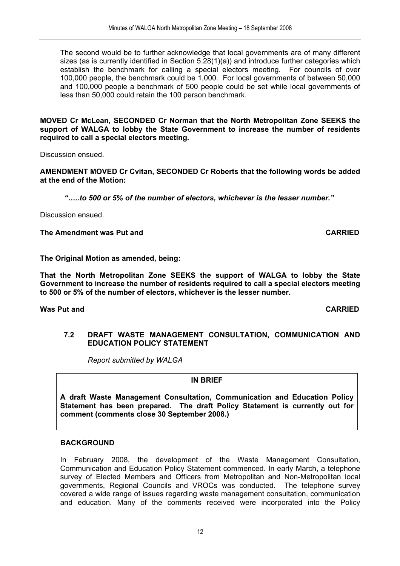The second would be to further acknowledge that local governments are of many different sizes (as is currently identified in Section 5.28(1)(a)) and introduce further categories which establish the benchmark for calling a special electors meeting. For councils of over 100,000 people, the benchmark could be 1,000. For local governments of between 50,000 and 100,000 people a benchmark of 500 people could be set while local governments of less than 50,000 could retain the 100 person benchmark.

**MOVED Cr McLean, SECONDED Cr Norman that the North Metropolitan Zone SEEKS the support of WALGA to lobby the State Government to increase the number of residents required to call a special electors meeting.** 

Discussion ensued.

**AMENDMENT MOVED Cr Cvitan, SECONDED Cr Roberts that the following words be added at the end of the Motion:** 

*"…..to 500 or 5% of the number of electors, whichever is the lesser number."* 

Discussion ensued.

**The Amendment was Put and CARRIED** 

**The Original Motion as amended, being:** 

**That the North Metropolitan Zone SEEKS the support of WALGA to lobby the State Government to increase the number of residents required to call a special electors meeting to 500 or 5% of the number of electors, whichever is the lesser number.** 

**Was Put and CARRIED** 

#### **7.2 DRAFT WASTE MANAGEMENT CONSULTATION, COMMUNICATION AND EDUCATION POLICY STATEMENT**

 *Report submitted by WALGA* 

#### **IN BRIEF**

**A draft Waste Management Consultation, Communication and Education Policy Statement has been prepared. The draft Policy Statement is currently out for comment (comments close 30 September 2008.)** 

#### **BACKGROUND**

In February 2008, the development of the Waste Management Consultation, Communication and Education Policy Statement commenced. In early March, a telephone survey of Elected Members and Officers from Metropolitan and Non-Metropolitan local governments, Regional Councils and VROCs was conducted. The telephone survey covered a wide range of issues regarding waste management consultation, communication and education. Many of the comments received were incorporated into the Policy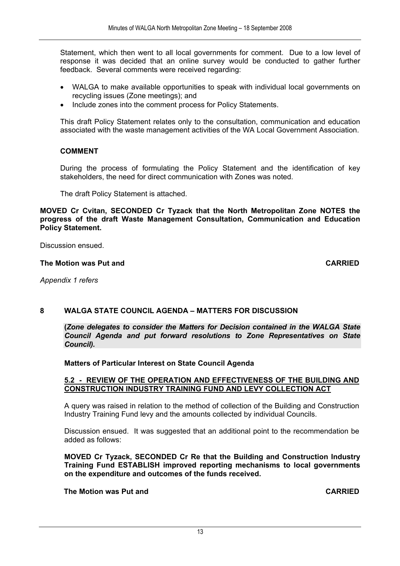Statement, which then went to all local governments for comment. Due to a low level of response it was decided that an online survey would be conducted to gather further feedback. Several comments were received regarding:

- WALGA to make available opportunities to speak with individual local governments on recycling issues (Zone meetings); and
- Include zones into the comment process for Policy Statements.

This draft Policy Statement relates only to the consultation, communication and education associated with the waste management activities of the WA Local Government Association.

#### **COMMENT**

During the process of formulating the Policy Statement and the identification of key stakeholders, the need for direct communication with Zones was noted.

The draft Policy Statement is attached.

**MOVED Cr Cvitan, SECONDED Cr Tyzack that the North Metropolitan Zone NOTES the progress of the draft Waste Management Consultation, Communication and Education Policy Statement.** 

Discussion ensued.

#### **The Motion was Put and CARRIED CARRIED**

*Appendix 1 refers* 

#### **8 WALGA STATE COUNCIL AGENDA – MATTERS FOR DISCUSSION**

**(***Zone delegates to consider the Matters for Decision contained in the WALGA State Council Agenda and put forward resolutions to Zone Representatives on State Council).*

#### **Matters of Particular Interest on State Council Agenda**

#### **5.2 - REVIEW OF THE OPERATION AND EFFECTIVENESS OF THE BUILDING AND CONSTRUCTION INDUSTRY TRAINING FUND AND LEVY COLLECTION ACT**

A query was raised in relation to the method of collection of the Building and Construction Industry Training Fund levy and the amounts collected by individual Councils.

Discussion ensued. It was suggested that an additional point to the recommendation be added as follows:

**MOVED Cr Tyzack, SECONDED Cr Re that the Building and Construction Industry Training Fund ESTABLISH improved reporting mechanisms to local governments on the expenditure and outcomes of the funds received.** 

#### **The Motion was Put and CARRIED**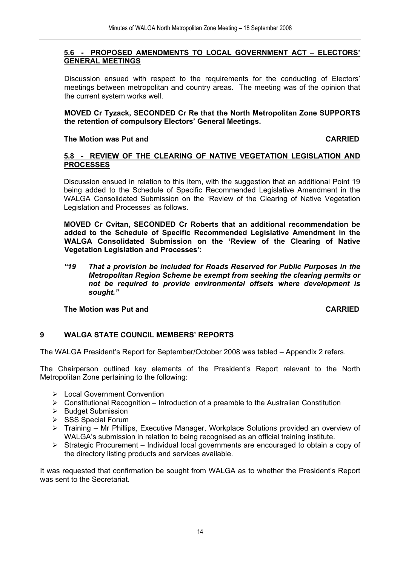#### **5.6 - PROPOSED AMENDMENTS TO LOCAL GOVERNMENT ACT – ELECTORS' GENERAL MEETINGS**

Discussion ensued with respect to the requirements for the conducting of Electors' meetings between metropolitan and country areas. The meeting was of the opinion that the current system works well.

**MOVED Cr Tyzack, SECONDED Cr Re that the North Metropolitan Zone SUPPORTS the retention of compulsory Electors' General Meetings.** 

#### **The Motion was Put and CARRIED**

#### **5.8 - REVIEW OF THE CLEARING OF NATIVE VEGETATION LEGISLATION AND PROCESSES**

Discussion ensued in relation to this Item, with the suggestion that an additional Point 19 being added to the Schedule of Specific Recommended Legislative Amendment in the WALGA Consolidated Submission on the 'Review of the Clearing of Native Vegetation Legislation and Processes' as follows.

**MOVED Cr Cvitan, SECONDED Cr Roberts that an additional recommendation be added to the Schedule of Specific Recommended Legislative Amendment in the WALGA Consolidated Submission on the 'Review of the Clearing of Native Vegetation Legislation and Processes':** 

*"19 That a provision be included for Roads Reserved for Public Purposes in the Metropolitan Region Scheme be exempt from seeking the clearing permits or not be required to provide environmental offsets where development is sought."* 

**The Motion was Put and CARRIED**

#### **9 WALGA STATE COUNCIL MEMBERS' REPORTS**

The WALGA President's Report for September/October 2008 was tabled – Appendix 2 refers.

The Chairperson outlined key elements of the President's Report relevant to the North Metropolitan Zone pertaining to the following:

- $\triangleright$  Local Government Convention
- $\triangleright$  Constitutional Recognition Introduction of a preamble to the Australian Constitution
- ¾ Budget Submission
- ¾ SSS Special Forum
- ¾ Training Mr Phillips, Executive Manager, Workplace Solutions provided an overview of WALGA's submission in relation to being recognised as an official training institute.
- ¾ Strategic Procurement Individual local governments are encouraged to obtain a copy of the directory listing products and services available.

It was requested that confirmation be sought from WALGA as to whether the President's Report was sent to the Secretariat.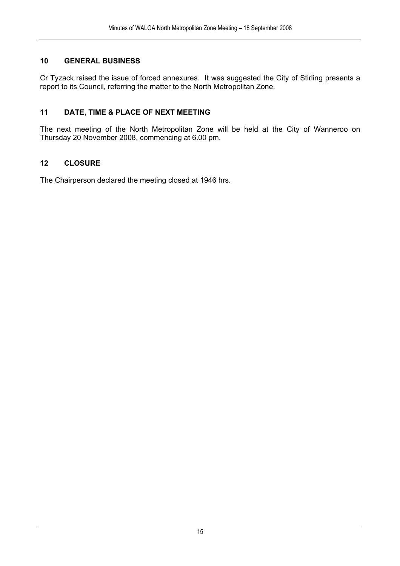#### **10 GENERAL BUSINESS**

Cr Tyzack raised the issue of forced annexures. It was suggested the City of Stirling presents a report to its Council, referring the matter to the North Metropolitan Zone.

#### **11 DATE, TIME & PLACE OF NEXT MEETING**

The next meeting of the North Metropolitan Zone will be held at the City of Wanneroo on Thursday 20 November 2008, commencing at 6.00 pm.

#### **12 CLOSURE**

The Chairperson declared the meeting closed at 1946 hrs.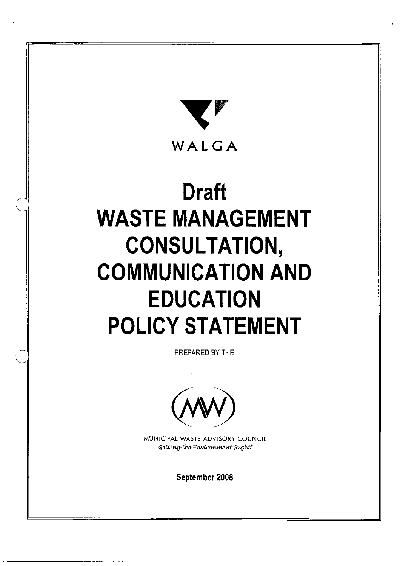

# **Draft WASTE MANAGEMENT CONSULTATION, COMMUNICATION AND EDUCATION POLICY STATEMENT**

PREPARED BY THE



MUNICIPAL WASTE ADVISORY COUNCIL "Getting the Environment Right"

September 2008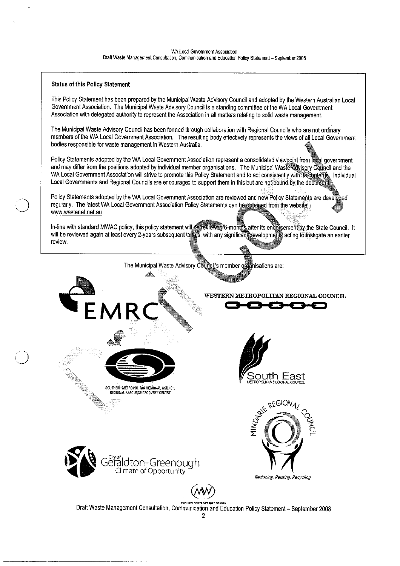#### **Status of this Policy Statement**

This Policy Statement has been prepared by the Municipal Waste Advisory Council and adopted by the Western Australian Local Government Association. The Municipal Waste Advisory Council is a standing committee of the WA Local Government Association with delegated authority to represent the Association in all matters relating to solid waste management.

The Municipal Waste Advisory Council has been formed through collaboration with Regional Councils who are not ordinary members of the WA Local Government Association. The resulting body effectively represents the views of all Local Government bodies responsible for waste management in Western Australia.

Policy Statements adopted by the WA Local Government Association represent a consolidated viewpoint from local government and may differ from the positions adopted by individual member organisations. The Municipal Waste Advisory Council and the WA Local Government Association will strive to promote this Policy Statement and to act consistently with its contents. Individual Local Governments and Regional Councils are encouraged to support them in this but are not bound by the document

Policy Statements adopted by the WA Local Government Association are reviewed and new Policy Statements are developed regularly. The latest WA Local Government Association Policy Statements can be obtained from the website www.wastenet.net.au

In-line with standard MWAC policy, this policy statement will be reviewed 6-months after its endorsement by the State Council. It will be reviewed again at least every 2-years subsequent to this; with any significant developments acting to instigate an earlier review.



The Municipal Waste Advisory Council's member organisations are:

WESTERN METROPOLITAN REGIONAL COUNCIL



Draft Waste Management Consultation, Communication and Education Policy Statement - September 2008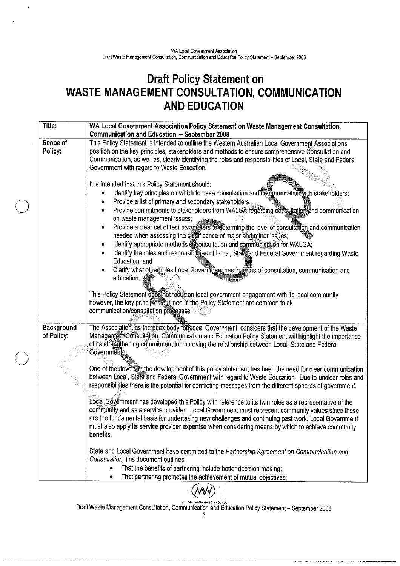$\ddot{\phantom{0}}$ 

## Draft Policy Statement on<br>WASTE MANAGEMENT CONSULTATION, COMMUNICATION **AND EDUCATION**

| Title:                          | WA Local Government Association Policy Statement on Waste Management Consultation,<br>Communication and Education - September 2008                                                                                                                                                                                                                                                                                                                                                                                                                                                                                                                                                                                                                                                                                                    |
|---------------------------------|---------------------------------------------------------------------------------------------------------------------------------------------------------------------------------------------------------------------------------------------------------------------------------------------------------------------------------------------------------------------------------------------------------------------------------------------------------------------------------------------------------------------------------------------------------------------------------------------------------------------------------------------------------------------------------------------------------------------------------------------------------------------------------------------------------------------------------------|
| Scope of<br>Policy:             | This Policy Statement is intended to outline the Western Australian Local Government Associations<br>position on the key principles, stakeholders and methods to ensure comprehensive Consultation and<br>Communication, as well as, clearly identifying the roles and responsibilities of Local, State and Federal<br>Government with regard to Waste Education.                                                                                                                                                                                                                                                                                                                                                                                                                                                                     |
|                                 | It is intended that this Policy Statement should:<br>Identify key principles on which to base consultation and communication with stakeholders;<br>Provide a list of primary and secondary stakeholders;<br>Provide commitments to stakeholders from WALGA regarding consultation and communication<br>۰<br>on waste management issues;<br>Provide a clear set of test parameters to determine the level of consultation and communication<br>۰<br>needed when assessing the significance of major and minor issues;<br>Identify appropriate methods of consultation and communication for WALGA;<br>٠<br>Identify the roles and responsibilities of Local, State and Federal Government regarding Waste<br>Education; and<br>Clarify what other roles Local Government has in terms of consultation, communication and<br>education. |
|                                 | This Policy Statement dees not focus on local government engagement with its local community<br>however, the key principles outlined in the Policy Statement are common to all<br>communication/consultation processes.                                                                                                                                                                                                                                                                                                                                                                                                                                                                                                                                                                                                               |
| <b>Background</b><br>of Policy: | The Association, as the peak body for Local Government, considers that the development of the Waste<br>Management Consultation, Communication and Education Policy Statement will highlight the importance<br>of its strengthening commitment to improving the relationship between Local, State and Federal<br><b>Governments</b>                                                                                                                                                                                                                                                                                                                                                                                                                                                                                                    |
|                                 | One of the drivers in the development of this policy statement has been the need for clear communication<br>between Local, State and Federal Government with regard to Waste Education. Due to unclear roles and<br>responsibilities there is the potential for conflicting messages from the different spheres of government.                                                                                                                                                                                                                                                                                                                                                                                                                                                                                                        |
|                                 | Local Government has developed this Policy with reference to its twin roles as a representative of the<br>community and as a service provider. Local Government must represent community values since these<br>are the fundamental basis for undertaking new challenges and continuing past work. Local Government<br>must also apply its service provider expertise when considering means by which to achieve community<br>benefits.                                                                                                                                                                                                                                                                                                                                                                                                |
|                                 | State and Local Government have committed to the Partnership Agreement on Communication and<br>Consultation, this document outlines:<br>That the benefits of partnering include better decision making;<br>That partnering promotes the achievement of mutual objectives;<br>٠                                                                                                                                                                                                                                                                                                                                                                                                                                                                                                                                                        |



Draft Waste Management Consultation, Communication and Education Policy Statement - September 2008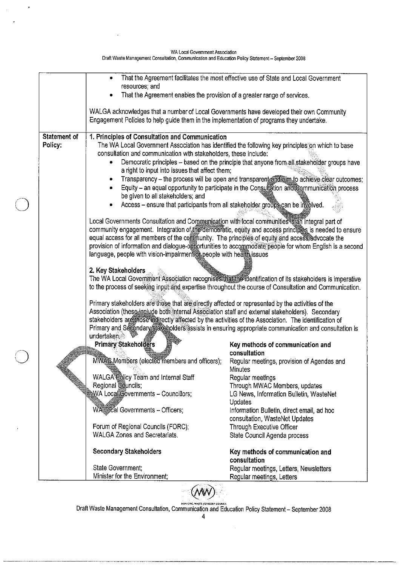|              |                                                                                                                     | That the Agreement facilitates the most effective use of State and Local Government                    |  |  |  |
|--------------|---------------------------------------------------------------------------------------------------------------------|--------------------------------------------------------------------------------------------------------|--|--|--|
|              | resources; and                                                                                                      |                                                                                                        |  |  |  |
|              | That the Agreement enables the provision of a greater range of services.                                            |                                                                                                        |  |  |  |
|              | WALGA acknowledges that a number of Local Governments have developed their own Community                            |                                                                                                        |  |  |  |
|              | Engagement Policies to help guide them in the implementation of programs they undertake.                            |                                                                                                        |  |  |  |
|              |                                                                                                                     |                                                                                                        |  |  |  |
| Statement of | 1. Principles of Consultation and Communication                                                                     |                                                                                                        |  |  |  |
| Policy:      |                                                                                                                     | The WA Local Government Association has identified the following key principles on which to base       |  |  |  |
|              | consultation and communication with stakeholders, these include:                                                    |                                                                                                        |  |  |  |
|              | a right to input into issues that affect them;                                                                      | Democratic principles - based on the principle that anyone from all stakeholder groups have            |  |  |  |
|              |                                                                                                                     | Transparency - the process will be open and transparent and a achieve clear outcomes;                  |  |  |  |
|              |                                                                                                                     | Equity - an equal opportunity to participate in the Consultation and Communication process             |  |  |  |
|              | be given to all stakeholders; and                                                                                   |                                                                                                        |  |  |  |
|              | Access - ensure that participants from all stakeholder groups can be involved.                                      |                                                                                                        |  |  |  |
|              |                                                                                                                     |                                                                                                        |  |  |  |
|              | Local Governments Consultation and Communication with local communities is an integral part of                      |                                                                                                        |  |  |  |
|              | community engagement. Integration of the democratic, equity and access principles is needed to ensure               |                                                                                                        |  |  |  |
|              | equal access for all members of the community. The principles of equity and access advocate the                     | provision of information and dialogue-opportunities to accommodate people for whom English is a second |  |  |  |
|              | language, people with vision-impairment of people with health issues                                                |                                                                                                        |  |  |  |
|              |                                                                                                                     |                                                                                                        |  |  |  |
|              | 2. Key Stakeholders                                                                                                 |                                                                                                        |  |  |  |
|              | The WA Local Government Association recognises that the identification of its stakeholders is imperative            |                                                                                                        |  |  |  |
|              | to the process of seeking input and expertise throughout the course of Consultation and Communication.              |                                                                                                        |  |  |  |
|              | Primary stakeholders are those that are directly affected or represented by the activities of the                   |                                                                                                        |  |  |  |
|              | Association (these include both Internal Association staff and external stakeholders). Secondary                    |                                                                                                        |  |  |  |
|              | stakeholders are those indirectly affected by the activities of the Association. The identification of              |                                                                                                        |  |  |  |
|              | Primary and Secondary stakeholders assists in ensuring appropriate communication and consultation is<br>undertaken. |                                                                                                        |  |  |  |
|              | <b>Primary Stakeholders</b>                                                                                         | Key methods of communication and                                                                       |  |  |  |
|              |                                                                                                                     | consultation                                                                                           |  |  |  |
|              | MWAS Members (elected members and officers);                                                                        | Regular meetings, provision of Agendas and                                                             |  |  |  |
|              |                                                                                                                     | Minutes                                                                                                |  |  |  |
|              | WALGA <sup>N</sup> Bolicy Team and Internal Staff                                                                   | Regular meetings                                                                                       |  |  |  |
|              | Regional Councils;                                                                                                  | Through MWAC Members, updates                                                                          |  |  |  |
|              | WA Local Governments - Councillors;                                                                                 | LG News, Information Bulletin, WasteNet<br>Updates                                                     |  |  |  |
|              | WALGcal Governments - Officers;                                                                                     | Information Bulletin, direct email, ad hoc                                                             |  |  |  |
|              |                                                                                                                     | consultation, WasteNet Updates                                                                         |  |  |  |
|              | Forum of Regional Councils (FORC);                                                                                  | Through Executive Officer                                                                              |  |  |  |
|              | <b>WALGA Zones and Secretariats.</b>                                                                                | State Council Agenda process                                                                           |  |  |  |
|              | <b>Secondary Stakeholders</b>                                                                                       | Key methods of communication and                                                                       |  |  |  |
|              |                                                                                                                     | consultation                                                                                           |  |  |  |
|              | State Government;                                                                                                   | Regular meetings, Letters, Newsletters                                                                 |  |  |  |
|              | Minister for the Environment;                                                                                       | Regular meetings, Letters                                                                              |  |  |  |



 $\ddot{\phantom{1}}$ 

Draft Waste Management Consultation, Communication and Education Policy Statement - September 2008

(WW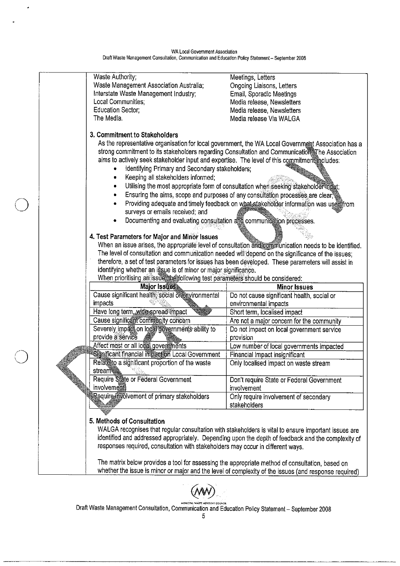$\bullet$ 

٠.

| Waste Authority;                                                                                | Meetings, Letters                                                                                     |  |  |  |
|-------------------------------------------------------------------------------------------------|-------------------------------------------------------------------------------------------------------|--|--|--|
| Waste Management Association Australia;                                                         | Ongoing Liaisons, Letters                                                                             |  |  |  |
| Interstate Waste Management Industry;                                                           | Email, Sporadic Meetings                                                                              |  |  |  |
| Local Communities;                                                                              | Media release, Newsletters                                                                            |  |  |  |
| <b>Education Sector;</b>                                                                        | Media release, Newsletters                                                                            |  |  |  |
| The Media.                                                                                      | Media release Via WALGA                                                                               |  |  |  |
|                                                                                                 |                                                                                                       |  |  |  |
| 3. Commitment to Stakeholders                                                                   | As the representative organisation for local government, the WA Local Government Association has a    |  |  |  |
| aims to actively seek stakeholder input and expertise. The level of this commitment includes:   | strong commitment to its stakeholders regarding Consultation and Communication The Association        |  |  |  |
| Identifying Primary and Secondary stakeholders;                                                 |                                                                                                       |  |  |  |
| Keeping all stakeholders informed;<br>$\bullet$                                                 |                                                                                                       |  |  |  |
| $\qquad \qquad \bullet$                                                                         | Utilising the most appropriate form of consultation when seeking stakeholder input;                   |  |  |  |
| $\bullet$                                                                                       | Ensuring the aims, scope and purposes of any consultation processes are clear                         |  |  |  |
|                                                                                                 |                                                                                                       |  |  |  |
|                                                                                                 | Providing adequate and timely feedback on what stakeholder information was used from                  |  |  |  |
| surveys or emails received; and                                                                 |                                                                                                       |  |  |  |
| Documenting and evaluating consultation and communication processes.                            |                                                                                                       |  |  |  |
| 4. Test Parameters for Major and Minor Issues                                                   |                                                                                                       |  |  |  |
|                                                                                                 | When an issue arises, the appropriate level of consultation and communication needs to be identified. |  |  |  |
|                                                                                                 | The level of consultation and communication needed will depend on the significance of the issues;     |  |  |  |
|                                                                                                 | therefore, a set of test parameters for issues has been developed. These parameters will assist in    |  |  |  |
| identifying whether an issue is of minor or major significance.                                 |                                                                                                       |  |  |  |
| When prioritising an issue, the following test parameters should be considered:                 |                                                                                                       |  |  |  |
| Major Issues                                                                                    | <b>Minor Issues</b>                                                                                   |  |  |  |
| Cause significant health, social or environmental                                               | Do not cause significant health, social or                                                            |  |  |  |
| impacts                                                                                         | environmental impacts                                                                                 |  |  |  |
| Have long term, wide spread impact                                                              | Short term, localised impact                                                                          |  |  |  |
| Cause significant community concern                                                             | Are not a major concern for the community                                                             |  |  |  |
| Severely impact on local governments ability to                                                 | Do not impact on local government service                                                             |  |  |  |
| provide a service                                                                               | provision                                                                                             |  |  |  |
| Affect most or all local governments                                                            | Low number of local governments impacted                                                              |  |  |  |
| Significant financial impaction Local Government                                                | Financial impact insignificant                                                                        |  |  |  |
| Relate to a significant proportion of the waste                                                 | Only localised impact on waste stream                                                                 |  |  |  |
| stream                                                                                          |                                                                                                       |  |  |  |
| Require State or Federal Government                                                             | Don't require State or Federal Government                                                             |  |  |  |
| involvement                                                                                     | involvement                                                                                           |  |  |  |
| Require involvement of primary stakeholders                                                     | Only require involvement of secondary                                                                 |  |  |  |
|                                                                                                 | stakeholders                                                                                          |  |  |  |
|                                                                                                 |                                                                                                       |  |  |  |
| 5. Methods of Consultation                                                                      |                                                                                                       |  |  |  |
|                                                                                                 | WALGA recognises that regular consultation with stakeholders is vital to ensure important issues are  |  |  |  |
|                                                                                                 | identified and addressed appropriately. Depending upon the depth of feedback and the complexity of    |  |  |  |
|                                                                                                 |                                                                                                       |  |  |  |
|                                                                                                 |                                                                                                       |  |  |  |
| responses required, consultation with stakeholders may occur in different ways.                 |                                                                                                       |  |  |  |
|                                                                                                 |                                                                                                       |  |  |  |
| The matrix below provides a tool for assessing the appropriate method of consultation, based on | whether the issue is minor or major and the level of complexity of the issues (and response required) |  |  |  |



Draft Waste Management Consultation, Communication and Education Policy Statement - September 2008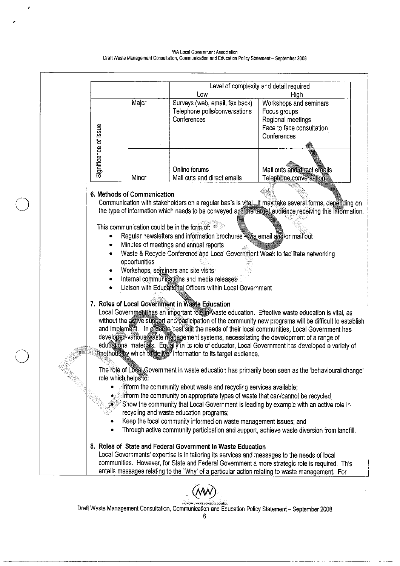WA Local Government Association Draft Waste Management Consultation, Communication and Education Policy Statement - September 2008





Draft Waste Management Consultation, Communication and Education Policy Statement - September 2008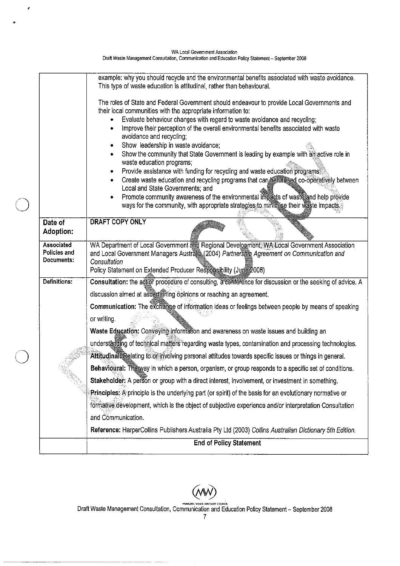| WA Local Government Association                                                                    |
|----------------------------------------------------------------------------------------------------|
| Draft Waste Management Consultation, Communication and Education Policy Statement - September 2008 |

 $\hat{\mathbf{z}}$ 

|                                          | example: why you should recycle and the environmental benefits associated with waste avoidance.<br>This type of waste education is attitudinal, rather than behavioural.                                                                                                                                                                                                                             |
|------------------------------------------|------------------------------------------------------------------------------------------------------------------------------------------------------------------------------------------------------------------------------------------------------------------------------------------------------------------------------------------------------------------------------------------------------|
|                                          | The roles of State and Federal Government should endeavour to provide Local Governments and<br>their local communities with the appropriate information to:<br>Evaluate behaviour changes with regard to waste avoidance and recycling;<br>Improve their perception of the overall environmental benefits associated with waste<br>۰                                                                 |
|                                          | avoidance and recycling;<br>Show leadership in waste avoidance;<br>٠<br>Show the community that State Government is leading by example with amactive role in<br>waste education programs;                                                                                                                                                                                                            |
|                                          | Provide assistance with funding for recycling and waste education programs;<br>٠<br>Create waste education and recycling programs that can betutilised co-operatively between<br>Local and State Governments; and<br>Promote community awareness of the environmental impacts of wasterand help provide<br>٠<br>ways for the community, with appropriate strategies to minimise their waste impacts. |
| Date of<br>Adoption:                     | <b>DRAFT COPY ONLY</b>                                                                                                                                                                                                                                                                                                                                                                               |
| Associated<br>Policies and<br>Documents: | WA Department of Local Government and Regional Development, WA Local Government Association<br>and Local Government Managers Australia (2004) Partnership Agreement on Communication and<br>Consultation<br>Policy Statement on Extended Producer Responsibility (June 2008)                                                                                                                         |
| Definitions:                             | Consultation: the agror procedure of consulting, a conference for discussion or the seeking of advice. A                                                                                                                                                                                                                                                                                             |
|                                          | discussion aimed at ascertaining opinions or reaching an agreement.                                                                                                                                                                                                                                                                                                                                  |
|                                          | Communication: The exchange of information ideas or feelings between people by means of speaking<br>or writing.                                                                                                                                                                                                                                                                                      |
|                                          | Waste Education: Conveying information and awareness on waste issues and building an                                                                                                                                                                                                                                                                                                                 |
|                                          | understanding of technical matters regarding waste types, contamination and processing technologies.                                                                                                                                                                                                                                                                                                 |
|                                          | Attitudinal: Relating to or involving personal attitudes towards specific issues or things in general.                                                                                                                                                                                                                                                                                               |
|                                          | Behavioural: The way in which a person, organism, or group responds to a specific set of conditions.                                                                                                                                                                                                                                                                                                 |
|                                          | Stakeholder: A person or group with a direct interest, involvement, or investment in something.                                                                                                                                                                                                                                                                                                      |
|                                          | Principles: A principle is the underlying part (or spirit) of the basis for an evolutionary normative or                                                                                                                                                                                                                                                                                             |
|                                          | formative development, which is the object of subjective experience and/or interpretation Consultation                                                                                                                                                                                                                                                                                               |
|                                          | and Communication.                                                                                                                                                                                                                                                                                                                                                                                   |
|                                          | Reference: HarperCollins Publishers Australia Pty Ltd (2003) Collins Australian Dictionary 5th Edition.                                                                                                                                                                                                                                                                                              |
|                                          | <b>End of Policy Statement</b>                                                                                                                                                                                                                                                                                                                                                                       |
|                                          |                                                                                                                                                                                                                                                                                                                                                                                                      |

 $(MW)$ Draft Waste Management Consultation, Communication and Education Policy Statement – September 2008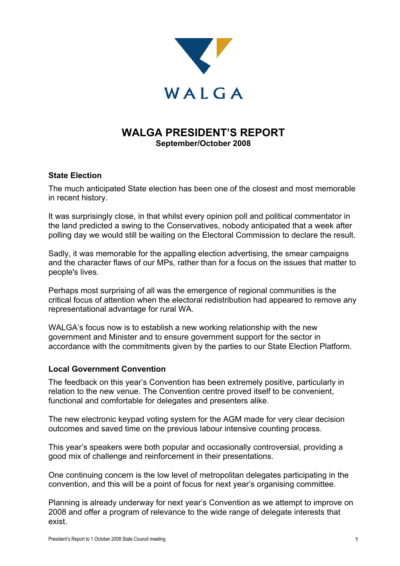

## **WALGA PRESIDENT'S REPORT September/October 2008**

#### **State Election**

The much anticipated State election has been one of the closest and most memorable in recent history.

It was surprisingly close, in that whilst every opinion poll and political commentator in the land predicted a swing to the Conservatives, nobody anticipated that a week after polling day we would still be waiting on the Electoral Commission to declare the result.

Sadly, it was memorable for the appalling election advertising, the smear campaigns and the character flaws of our MPs, rather than for a focus on the issues that matter to people's lives.

Perhaps most surprising of all was the emergence of regional communities is the critical focus of attention when the electoral redistribution had appeared to remove any representational advantage for rural WA.

WALGA's focus now is to establish a new working relationship with the new government and Minister and to ensure government support for the sector in accordance with the commitments given by the parties to our State Election Platform.

#### **Local Government Convention**

The feedback on this year's Convention has been extremely positive, particularly in relation to the new venue. The Convention centre proved itself to be convenient, functional and comfortable for delegates and presenters alike.

The new electronic keypad voting system for the AGM made for very clear decision outcomes and saved time on the previous labour intensive counting process.

This year's speakers were both popular and occasionally controversial, providing a good mix of challenge and reinforcement in their presentations.

One continuing concern is the low level of metropolitan delegates participating in the convention, and this will be a point of focus for next year's organising committee.

Planning is already underway for next year's Convention as we attempt to improve on 2008 and offer a program of relevance to the wide range of delegate interests that exist.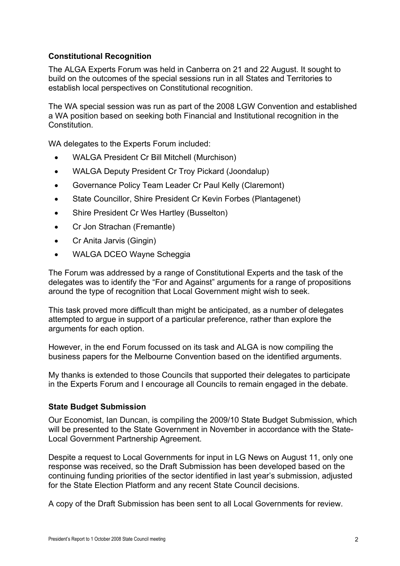#### **Constitutional Recognition**

The ALGA Experts Forum was held in Canberra on 21 and 22 August. It sought to build on the outcomes of the special sessions run in all States and Territories to establish local perspectives on Constitutional recognition.

The WA special session was run as part of the 2008 LGW Convention and established a WA position based on seeking both Financial and Institutional recognition in the Constitution.

WA delegates to the Experts Forum included:

- WALGA President Cr Bill Mitchell (Murchison)
- WALGA Deputy President Cr Troy Pickard (Joondalup)
- Governance Policy Team Leader Cr Paul Kelly (Claremont)
- State Councillor, Shire President Cr Kevin Forbes (Plantagenet)
- Shire President Cr Wes Hartley (Busselton)
- Cr Jon Strachan (Fremantle)
- Cr Anita Jarvis (Gingin)
- WALGA DCEO Wayne Scheggia

The Forum was addressed by a range of Constitutional Experts and the task of the delegates was to identify the "For and Against" arguments for a range of propositions around the type of recognition that Local Government might wish to seek.

This task proved more difficult than might be anticipated, as a number of delegates attempted to argue in support of a particular preference, rather than explore the arguments for each option.

However, in the end Forum focussed on its task and ALGA is now compiling the business papers for the Melbourne Convention based on the identified arguments.

My thanks is extended to those Councils that supported their delegates to participate in the Experts Forum and I encourage all Councils to remain engaged in the debate.

#### **State Budget Submission**

Our Economist, Ian Duncan, is compiling the 2009/10 State Budget Submission, which will be presented to the State Government in November in accordance with the State-Local Government Partnership Agreement.

Despite a request to Local Governments for input in LG News on August 11, only one response was received, so the Draft Submission has been developed based on the continuing funding priorities of the sector identified in last year's submission, adjusted for the State Election Platform and any recent State Council decisions.

A copy of the Draft Submission has been sent to all Local Governments for review.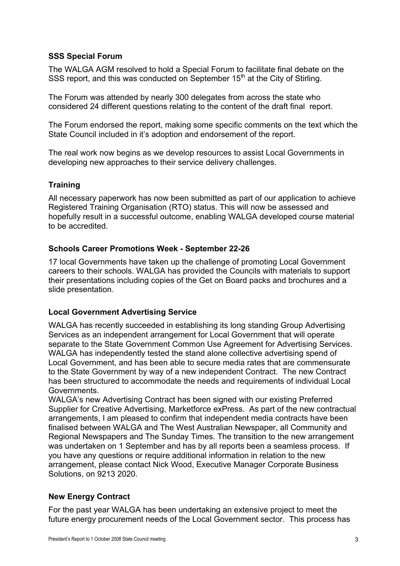#### **SSS Special Forum**

The WALGA AGM resolved to hold a Special Forum to facilitate final debate on the SSS report, and this was conducted on September 15<sup>th</sup> at the City of Stirling.

The Forum was attended by nearly 300 delegates from across the state who considered 24 different questions relating to the content of the draft final report.

The Forum endorsed the report, making some specific comments on the text which the State Council included in it's adoption and endorsement of the report.

The real work now begins as we develop resources to assist Local Governments in developing new approaches to their service delivery challenges.

### **Training**

All necessary paperwork has now been submitted as part of our application to achieve Registered Training Organisation (RTO) status. This will now be assessed and hopefully result in a successful outcome, enabling WALGA developed course material to be accredited.

#### **Schools Career Promotions Week - September 22-26**

17 local Governments have taken up the challenge of promoting Local Government careers to their schools. WALGA has provided the Councils with materials to support their presentations including copies of the Get on Board packs and brochures and a slide presentation.

#### **Local Government Advertising Service**

WALGA has recently succeeded in establishing its long standing Group Advertising Services as an independent arrangement for Local Government that will operate separate to the State Government Common Use Agreement for Advertising Services. WALGA has independently tested the stand alone collective advertising spend of Local Government, and has been able to secure media rates that are commensurate to the State Government by way of a new independent Contract. The new Contract has been structured to accommodate the needs and requirements of individual Local Governments.

WALGA's new Advertising Contract has been signed with our existing Preferred Supplier for Creative Advertising, Marketforce exPress. As part of the new contractual arrangements, I am pleased to confirm that independent media contracts have been finalised between WALGA and The West Australian Newspaper, all Community and Regional Newspapers and The Sunday Times. The transition to the new arrangement was undertaken on 1 September and has by all reports been a seamless process. If you have any questions or require additional information in relation to the new arrangement, please contact Nick Wood, Executive Manager Corporate Business Solutions, on 9213 2020.

#### **New Energy Contract**

For the past year WALGA has been undertaking an extensive project to meet the future energy procurement needs of the Local Government sector. This process has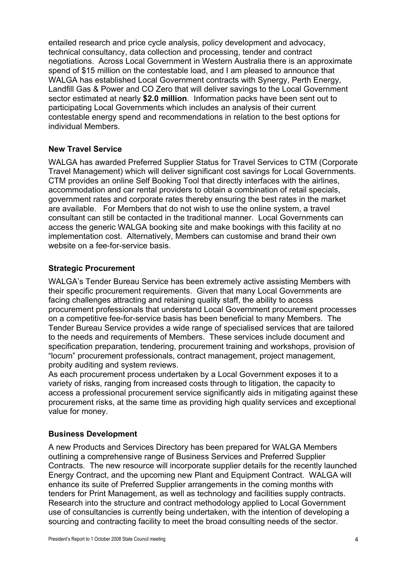entailed research and price cycle analysis, policy development and advocacy, technical consultancy, data collection and processing, tender and contract negotiations. Across Local Government in Western Australia there is an approximate spend of \$15 million on the contestable load, and I am pleased to announce that WALGA has established Local Government contracts with Synergy, Perth Energy, Landfill Gas & Power and CO Zero that will deliver savings to the Local Government sector estimated at nearly **\$2.0 million**. Information packs have been sent out to participating Local Governments which includes an analysis of their current contestable energy spend and recommendations in relation to the best options for individual Members.

#### **New Travel Service**

WALGA has awarded Preferred Supplier Status for Travel Services to CTM (Corporate Travel Management) which will deliver significant cost savings for Local Governments. CTM provides an online Self Booking Tool that directly interfaces with the airlines, accommodation and car rental providers to obtain a combination of retail specials, government rates and corporate rates thereby ensuring the best rates in the market are available. For Members that do not wish to use the online system, a travel consultant can still be contacted in the traditional manner. Local Governments can access the generic WALGA booking site and make bookings with this facility at no implementation cost. Alternatively, Members can customise and brand their own website on a fee-for-service basis.

#### **Strategic Procurement**

WALGA's Tender Bureau Service has been extremely active assisting Members with their specific procurement requirements. Given that many Local Governments are facing challenges attracting and retaining quality staff, the ability to access procurement professionals that understand Local Government procurement processes on a competitive fee-for-service basis has been beneficial to many Members. The Tender Bureau Service provides a wide range of specialised services that are tailored to the needs and requirements of Members. These services include document and specification preparation, tendering, procurement training and workshops, provision of "locum" procurement professionals, contract management, project management, probity auditing and system reviews.

As each procurement process undertaken by a Local Government exposes it to a variety of risks, ranging from increased costs through to litigation, the capacity to access a professional procurement service significantly aids in mitigating against these procurement risks, at the same time as providing high quality services and exceptional value for money.

#### **Business Development**

A new Products and Services Directory has been prepared for WALGA Members outlining a comprehensive range of Business Services and Preferred Supplier Contracts. The new resource will incorporate supplier details for the recently launched Energy Contract, and the upcoming new Plant and Equipment Contract. WALGA will enhance its suite of Preferred Supplier arrangements in the coming months with tenders for Print Management, as well as technology and facilities supply contracts. Research into the structure and contract methodology applied to Local Government use of consultancies is currently being undertaken, with the intention of developing a sourcing and contracting facility to meet the broad consulting needs of the sector.